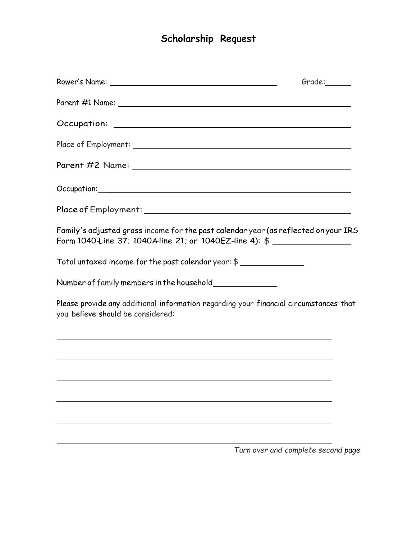## **Scholarship Request**

|                                                                                                                                                 | Grade:                             |
|-------------------------------------------------------------------------------------------------------------------------------------------------|------------------------------------|
|                                                                                                                                                 |                                    |
|                                                                                                                                                 |                                    |
|                                                                                                                                                 |                                    |
|                                                                                                                                                 |                                    |
|                                                                                                                                                 |                                    |
|                                                                                                                                                 |                                    |
| Family's adjusted gross income for the past calendar year (as reflected on your IRS<br>Form 1040 Line 37; 1040 Aline 21; or 1040 EZ-line 4): \$ |                                    |
| Total untaxed income for the past calendar year: \$ ______________                                                                              |                                    |
| Number of family members in the household_______________                                                                                        |                                    |
| Please provide any additional information regarding your financial circumstances that<br>you believe should be considered:                      |                                    |
| <u> 1989 - Johann Stoff, amerikansk politiker (* 1908)</u>                                                                                      |                                    |
| ,我们也不会有什么。""我们的人,我们也不会有什么?""我们的人,我们也不会有什么?""我们的人,我们的人,我们的人,我们的人,我们的人,我们的人,我们的人,我                                                                |                                    |
|                                                                                                                                                 |                                    |
|                                                                                                                                                 |                                    |
|                                                                                                                                                 |                                    |
|                                                                                                                                                 | Turn over and complete second page |